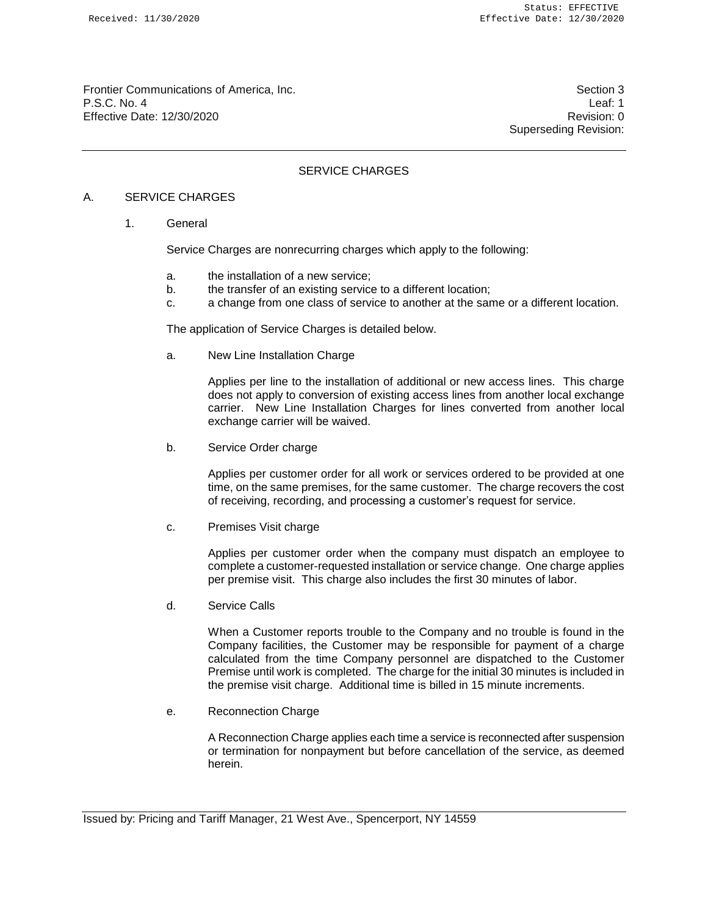Frontier Communications of America, Inc. Section 3 P.S.C. No. 4 Leaf: 1 Effective Date: 12/30/2020 Revision: 0

Superseding Revision:

# SERVICE CHARGES

### A. SERVICE CHARGES

1. General

Service Charges are nonrecurring charges which apply to the following:

- a. the installation of a new service;
- b. the transfer of an existing service to a different location;
- c. a change from one class of service to another at the same or a different location.

The application of Service Charges is detailed below.

a. New Line Installation Charge

Applies per line to the installation of additional or new access lines. This charge does not apply to conversion of existing access lines from another local exchange carrier. New Line Installation Charges for lines converted from another local exchange carrier will be waived.

b. Service Order charge

Applies per customer order for all work or services ordered to be provided at one time, on the same premises, for the same customer. The charge recovers the cost of receiving, recording, and processing a customer's request for service.

c. Premises Visit charge

Applies per customer order when the company must dispatch an employee to complete a customer-requested installation or service change. One charge applies per premise visit. This charge also includes the first 30 minutes of labor.

d. Service Calls

When a Customer reports trouble to the Company and no trouble is found in the Company facilities, the Customer may be responsible for payment of a charge calculated from the time Company personnel are dispatched to the Customer Premise until work is completed. The charge for the initial 30 minutes is included in the premise visit charge. Additional time is billed in 15 minute increments.

e. Reconnection Charge

A Reconnection Charge applies each time a service is reconnected after suspension or termination for nonpayment but before cancellation of the service, as deemed herein.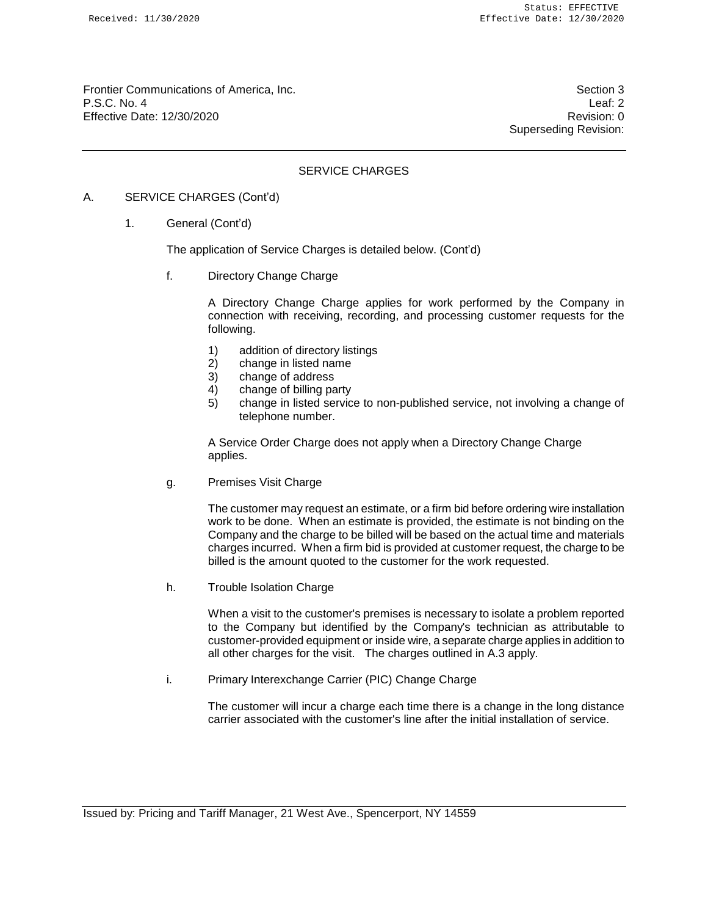Frontier Communications of America, Inc. Section 3 P.S.C. No. 4 Leaf: 2 Effective Date: 12/30/2020 **Revision: 0** 

Superseding Revision:

# SERVICE CHARGES

## A. SERVICE CHARGES (Cont'd)

1. General (Cont'd)

The application of Service Charges is detailed below. (Cont'd)

f. Directory Change Charge

A Directory Change Charge applies for work performed by the Company in connection with receiving, recording, and processing customer requests for the following.

- 1) addition of directory listings
- 2) change in listed name
- 3) change of address
- 4) change of billing party
- 5) change in listed service to non-published service, not involving a change of telephone number.

A Service Order Charge does not apply when a Directory Change Charge applies.

g. Premises Visit Charge

The customer may request an estimate, or a firm bid before ordering wire installation work to be done. When an estimate is provided, the estimate is not binding on the Company and the charge to be billed will be based on the actual time and materials charges incurred. When a firm bid is provided at customer request, the charge to be billed is the amount quoted to the customer for the work requested.

h. Trouble Isolation Charge

When a visit to the customer's premises is necessary to isolate a problem reported to the Company but identified by the Company's technician as attributable to customer-provided equipment or inside wire, a separate charge applies in addition to all other charges for the visit. The charges outlined in A.3 apply.

i. Primary Interexchange Carrier (PIC) Change Charge

The customer will incur a charge each time there is a change in the long distance carrier associated with the customer's line after the initial installation of service.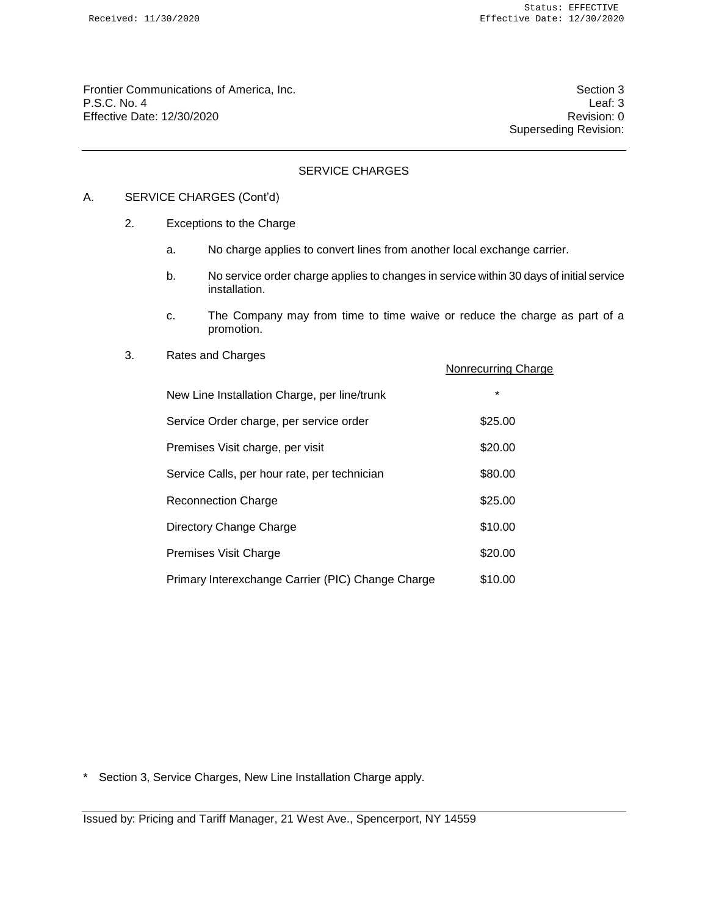Frontier Communications of America, Inc. Section 3 P.S.C. No. 4 Leaf: 3 Leaf: 3 Leaf: 3 Leaf: 3 Leaf: 3 Leaf: 3 Leaf: 3 Leaf: 3 Leaf: 3 Leaf: 3 Leaf: 3 Leaf: 3 Leaf: 3 Leaf: 3 Leaf: 3 Leaf: 3 Leaf: 3 Leaf: 3 Leaf: 3 Leaf: 3 Leaf: 3 Leaf: 3 Leaf: 3 Leaf: 3 Leaf: 3 Leaf: 3 L Effective Date: 12/30/2020

Superseding Revision:

# SERVICE CHARGES

## A. SERVICE CHARGES (Cont'd)

- 2. Exceptions to the Charge
	- a. No charge applies to convert lines from another local exchange carrier.
	- b. No service order charge applies to changes in service within 30 days of initial service installation.
	- c. The Company may from time to time waive or reduce the charge as part of a promotion.

Nonrecurring Charge

#### 3. Rates and Charges

| New Line Installation Charge, per line/trunk      | $\star$ |
|---------------------------------------------------|---------|
| Service Order charge, per service order           | \$25.00 |
| Premises Visit charge, per visit                  | \$20.00 |
| Service Calls, per hour rate, per technician      | \$80.00 |
| <b>Reconnection Charge</b>                        | \$25.00 |
| Directory Change Charge                           | \$10.00 |
| Premises Visit Charge                             | \$20.00 |
| Primary Interexchange Carrier (PIC) Change Charge | \$10.00 |

\* Section 3, Service Charges, New Line Installation Charge apply.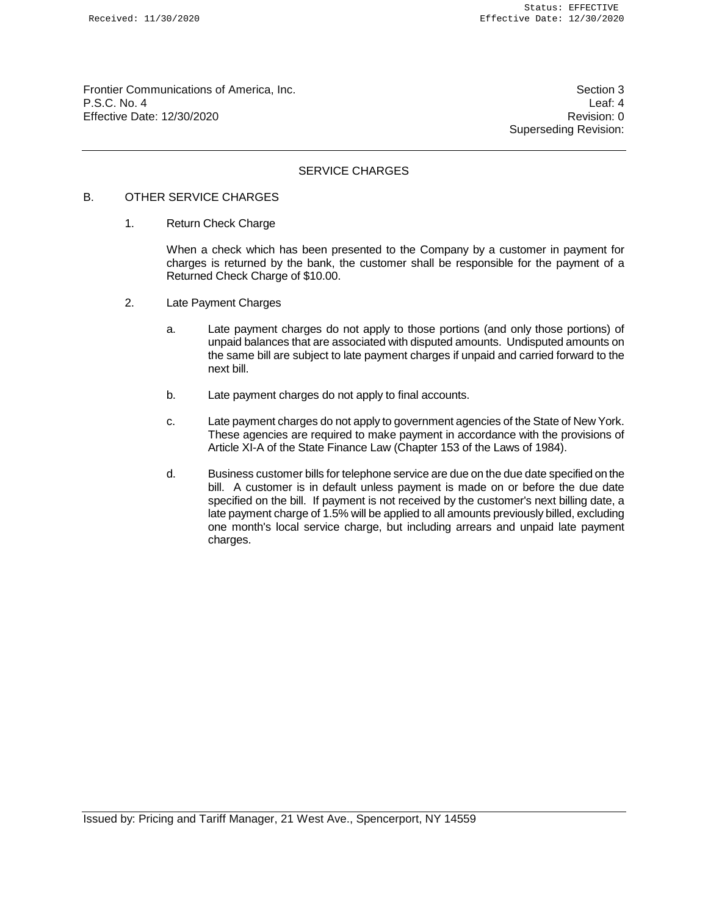Frontier Communications of America, Inc. Section 3 P.S.C. No. 4 Leaf: 4 Effective Date: 12/30/2020 **Revision: 0** 

Superseding Revision:

### SERVICE CHARGES

# B. OTHER SERVICE CHARGES

1. Return Check Charge

When a check which has been presented to the Company by a customer in payment for charges is returned by the bank, the customer shall be responsible for the payment of a Returned Check Charge of \$10.00.

- 2. Late Payment Charges
	- a. Late payment charges do not apply to those portions (and only those portions) of unpaid balances that are associated with disputed amounts. Undisputed amounts on the same bill are subject to late payment charges if unpaid and carried forward to the next bill.
	- b. Late payment charges do not apply to final accounts.
	- c. Late payment charges do not apply to government agencies of the State of New York. These agencies are required to make payment in accordance with the provisions of Article XI-A of the State Finance Law (Chapter 153 of the Laws of 1984).
	- d. Business customer bills for telephone service are due on the due date specified on the bill. A customer is in default unless payment is made on or before the due date specified on the bill. If payment is not received by the customer's next billing date, a late payment charge of 1.5% will be applied to all amounts previously billed, excluding one month's local service charge, but including arrears and unpaid late payment charges.